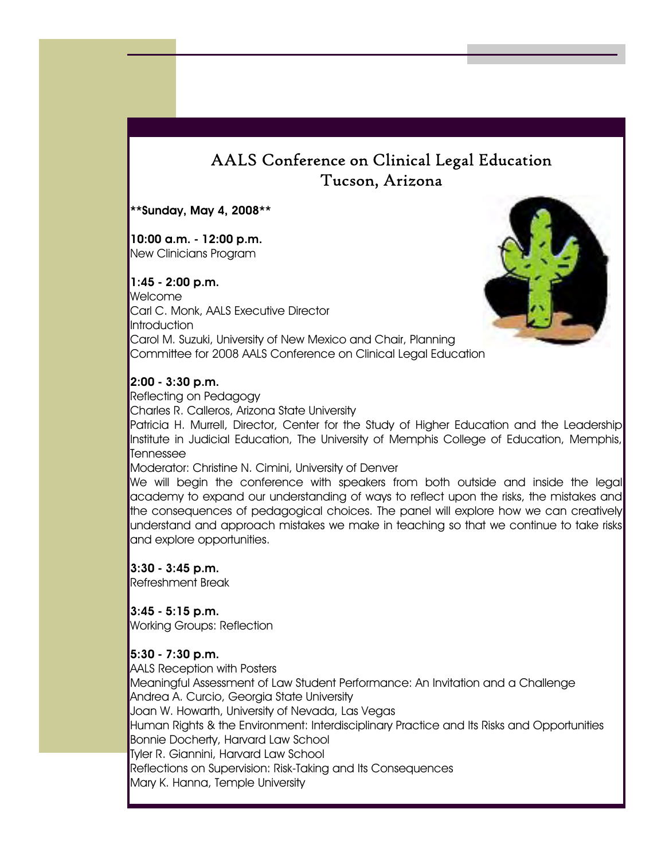# AALS Conference on Clinical Legal Education Tucson, Arizona

\*\*Sunday, May 4, 2008\*\*

10:00 a.m. - 12:00 p.m. New Clinicians Program

#### 1:45 - 2:00 p.m.

Welcome Carl C. Monk, AALS Executive Director Introduction Carol M. Suzuki, University of New Mexico and Chair, Planning Committee for 2008 AALS Conference on Clinical Legal Education



#### 2:00 - 3:30 p.m.

Reflecting on Pedagogy Charles R. Calleros, Arizona State University Patricia H. Murrell, Director, Center for the Study of Higher Education and the Leadership Institute in Judicial Education, The University of Memphis College of Education, Memphis, Tennessee

#### Moderator: Christine N. Cimini, University of Denver

We will begin the conference with speakers from both outside and inside the legal academy to expand our understanding of ways to reflect upon the risks, the mistakes and the consequences of pedagogical choices. The panel will explore how we can creatively understand and approach mistakes we make in teaching so that we continue to take risks and explore opportunities.

3:30 - 3:45 p.m. Refreshment Break

3:45 - 5:15 p.m. Working Groups: Reflection

#### 5:30 - 7:30 p.m.

AALS Reception with Posters Meaningful Assessment of Law Student Performance: An Invitation and a Challenge Andrea A. Curcio, Georgia State University Joan W. Howarth, University of Nevada, Las Vegas Human Rights & the Environment: Interdisciplinary Practice and Its Risks and Opportunities Bonnie Docherty, Harvard Law School Tyler R. Giannini, Harvard Law School Reflections on Supervision: Risk-Taking and Its Consequences Mary K. Hanna, Temple University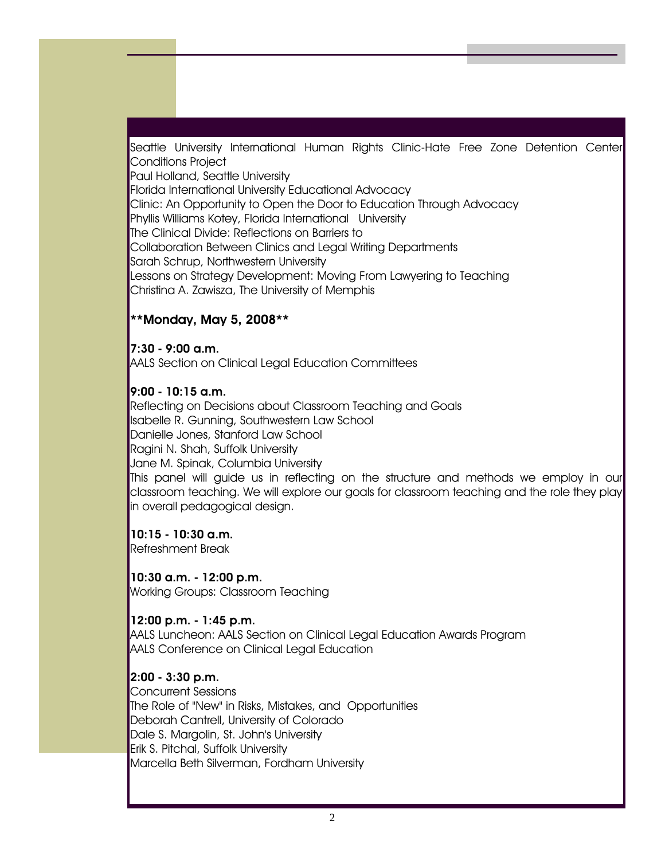Seattle University International Human Rights Clinic-Hate Free Zone Detention Center Conditions Project

Paul Holland, Seattle University

Florida International University Educational Advocacy

Clinic: An Opportunity to Open the Door to Education Through Advocacy

Phyllis Williams Kotey, Florida International University

The Clinical Divide: Reflections on Barriers to

Collaboration Between Clinics and Legal Writing Departments

Sarah Schrup, Northwestern University

Lessons on Strategy Development: Moving From Lawyering to Teaching Christina A. Zawisza, The University of Memphis

### \*\*Monday, May 5, 2008\*\*

7:30 - 9:00 a.m. AALS Section on Clinical Legal Education Committees

### 9:00 - 10:15 a.m.

Reflecting on Decisions about Classroom Teaching and Goals Isabelle R. Gunning, Southwestern Law School Danielle Jones, Stanford Law School Ragini N. Shah, Suffolk University Jane M. Spinak, Columbia University This panel will guide us in reflecting on the structure and methods we employ in our classroom teaching. We will explore our goals for classroom teaching and the role they play in overall pedagogical design.

10:15 - 10:30 a.m. Refreshment Break

10:30 a.m. - 12:00 p.m. Working Groups: Classroom Teaching

12:00 p.m. - 1:45 p.m.

AALS Luncheon: AALS Section on Clinical Legal Education Awards Program AALS Conference on Clinical Legal Education

### 2:00 - 3:30 p.m.

Concurrent Sessions The Role of "New" in Risks, Mistakes, and Opportunities Deborah Cantrell, University of Colorado Dale S. Margolin, St. John's University Erik S. Pitchal, Suffolk University Marcella Beth Silverman, Fordham University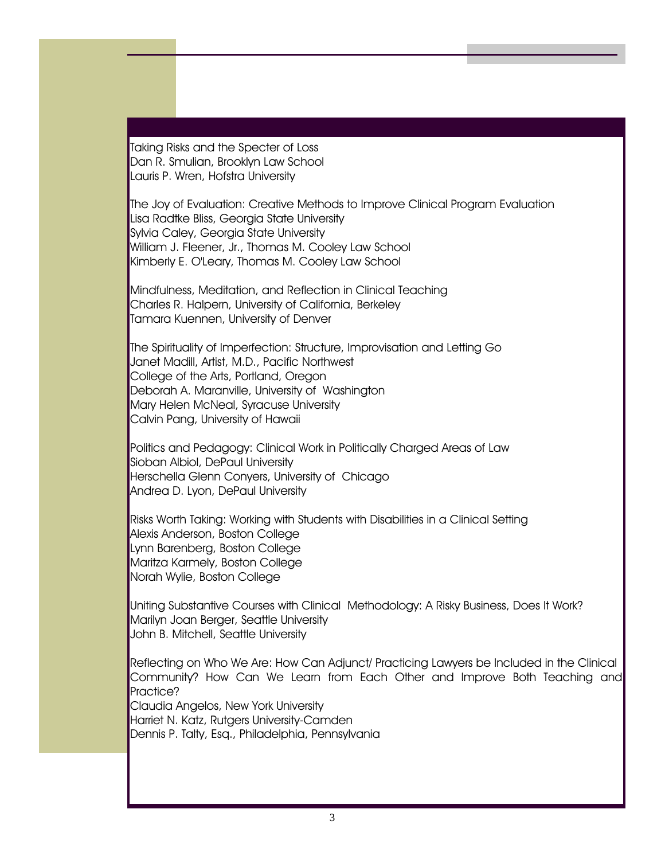Taking Risks and the Specter of Loss Dan R. Smulian, Brooklyn Law School Lauris P. Wren, Hofstra University

The Joy of Evaluation: Creative Methods to Improve Clinical Program Evaluation Lisa Radtke Bliss, Georgia State University Sylvia Caley, Georgia State University William J. Fleener, Jr., Thomas M. Cooley Law School Kimberly E. O'Leary, Thomas M. Cooley Law School

Mindfulness, Meditation, and Reflection in Clinical Teaching Charles R. Halpern, University of California, Berkeley Tamara Kuennen, University of Denver

The Spirituality of Imperfection: Structure, Improvisation and Letting Go Janet Madill, Artist, M.D., Pacific Northwest College of the Arts, Portland, Oregon Deborah A. Maranville, University of Washington Mary Helen McNeal, Syracuse University Calvin Pang, University of Hawaii

Politics and Pedagogy: Clinical Work in Politically Charged Areas of Law Sioban Albiol, DePaul University Herschella Glenn Conyers, University of Chicago Andrea D. Lyon, DePaul University

Risks Worth Taking: Working with Students with Disabilities in a Clinical Setting Alexis Anderson, Boston College Lynn Barenberg, Boston College Maritza Karmely, Boston College Norah Wylie, Boston College

Uniting Substantive Courses with Clinical Methodology: A Risky Business, Does It Work? Marilyn Joan Berger, Seattle University John B. Mitchell, Seattle University

Reflecting on Who We Are: How Can Adjunct/ Practicing Lawyers be Included in the Clinical Community? How Can We Learn from Each Other and Improve Both Teaching and Practice?

Claudia Angelos, New York University Harriet N. Katz, Rutgers University-Camden Dennis P. Talty, Esq., Philadelphia, Pennsylvania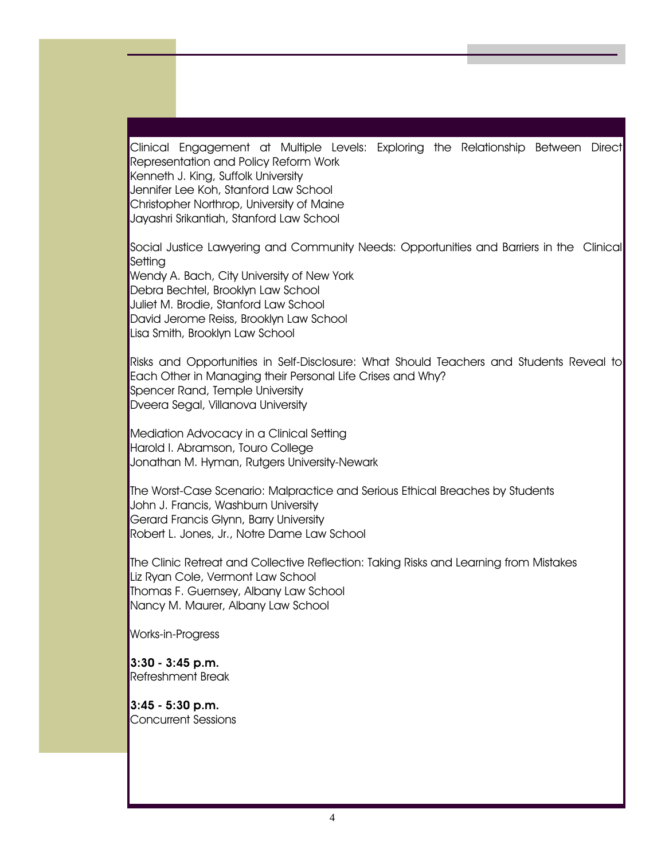Clinical Engagement at Multiple Levels: Exploring the Relationship Between Direct Representation and Policy Reform Work Kenneth J. King, Suffolk University Jennifer Lee Koh, Stanford Law School Christopher Northrop, University of Maine Jayashri Srikantiah, Stanford Law School

Social Justice Lawyering and Community Needs: Opportunities and Barriers in the Clinical **Setting** Wendy A. Bach, City University of New York Debra Bechtel, Brooklyn Law School Juliet M. Brodie, Stanford Law School David Jerome Reiss, Brooklyn Law School

Lisa Smith, Brooklyn Law School

Risks and Opportunities in Self-Disclosure: What Should Teachers and Students Reveal to Each Other in Managing their Personal Life Crises and Why? Spencer Rand, Temple University Dveera Segal, Villanova University

Mediation Advocacy in a Clinical Setting Harold I. Abramson, Touro College Jonathan M. Hyman, Rutgers University-Newark

The Worst-Case Scenario: Malpractice and Serious Ethical Breaches by Students John J. Francis, Washburn University Gerard Francis Glynn, Barry University Robert L. Jones, Jr., Notre Dame Law School

The Clinic Retreat and Collective Reflection: Taking Risks and Learning from Mistakes Liz Ryan Cole, Vermont Law School Thomas F. Guernsey, Albany Law School Nancy M. Maurer, Albany Law School

Works-in-Progress

3:30 - 3:45 p.m. Refreshment Break

3:45 - 5:30 p.m. Concurrent Sessions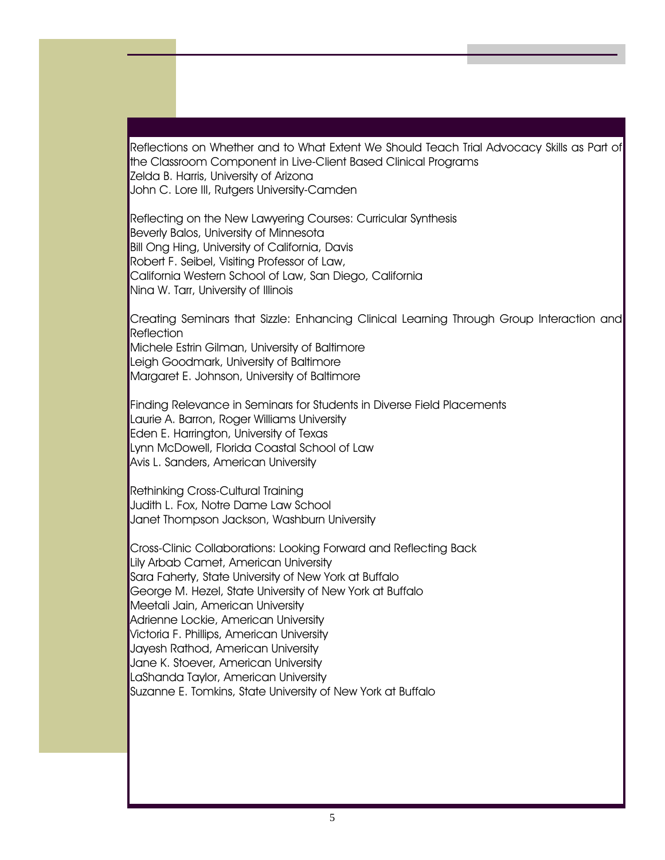Reflections on Whether and to What Extent We Should Teach Trial Advocacy Skills as Part of the Classroom Component in Live-Client Based Clinical Programs Zelda B. Harris, University of Arizona John C. Lore III, Rutgers University-Camden

Reflecting on the New Lawyering Courses: Curricular Synthesis Beverly Balos, University of Minnesota Bill Ong Hing, University of California, Davis Robert F. Seibel, Visiting Professor of Law, California Western School of Law, San Diego, California Nina W. Tarr, University of Illinois

Creating Seminars that Sizzle: Enhancing Clinical Learning Through Group Interaction and **Reflection** Michele Estrin Gilman, University of Baltimore Leigh Goodmark, University of Baltimore

Margaret E. Johnson, University of Baltimore

Finding Relevance in Seminars for Students in Diverse Field Placements Laurie A. Barron, Roger Williams University Eden E. Harrington, University of Texas Lynn McDowell, Florida Coastal School of Law Avis L. Sanders, American University

Rethinking Cross-Cultural Training Judith L. Fox, Notre Dame Law School Janet Thompson Jackson, Washburn University

Cross-Clinic Collaborations: Looking Forward and Reflecting Back Lily Arbab Camet, American University Sara Faherty, State University of New York at Buffalo George M. Hezel, State University of New York at Buffalo Meetali Jain, American University Adrienne Lockie, American University Victoria F. Phillips, American University Jayesh Rathod, American University Jane K. Stoever, American University LaShanda Taylor, American University Suzanne E. Tomkins, State University of New York at Buffalo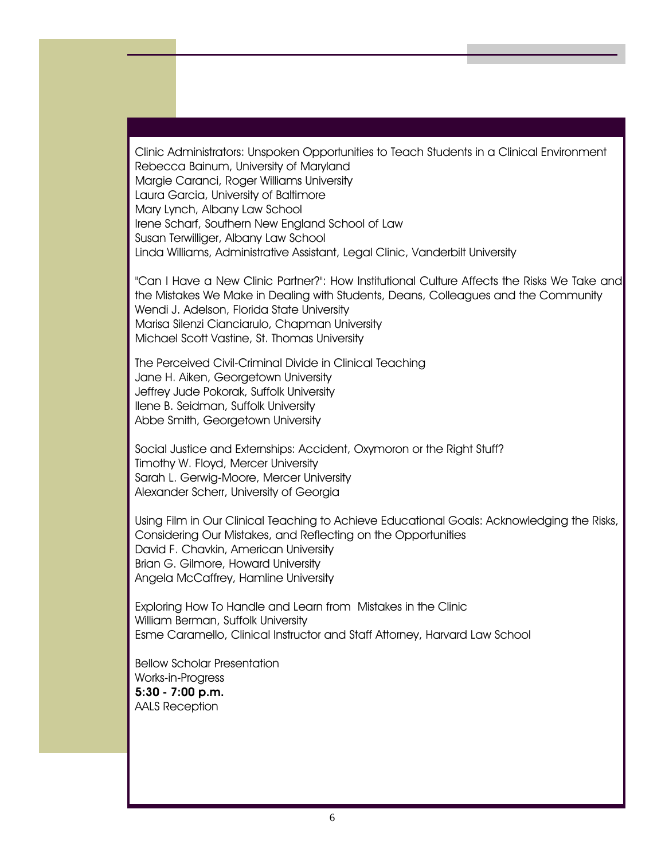Clinic Administrators: Unspoken Opportunities to Teach Students in a Clinical Environment Rebecca Bainum, University of Maryland Margie Caranci, Roger Williams University Laura Garcia, University of Baltimore Mary Lynch, Albany Law School Irene Scharf, Southern New England School of Law Susan Terwilliger, Albany Law School Linda Williams, Administrative Assistant, Legal Clinic, Vanderbilt University

"Can I Have a New Clinic Partner?": How Institutional Culture Affects the Risks We Take and the Mistakes We Make in Dealing with Students, Deans, Colleagues and the Community Wendi J. Adelson, Florida State University Marisa Silenzi Cianciarulo, Chapman University Michael Scott Vastine, St. Thomas University

The Perceived Civil-Criminal Divide in Clinical Teaching Jane H. Aiken, Georgetown University Jeffrey Jude Pokorak, Suffolk University Ilene B. Seidman, Suffolk University Abbe Smith, Georgetown University

Social Justice and Externships: Accident, Oxymoron or the Right Stuff? Timothy W. Floyd, Mercer University Sarah L. Gerwig-Moore, Mercer University Alexander Scherr, University of Georgia

Using Film in Our Clinical Teaching to Achieve Educational Goals: Acknowledging the Risks, Considering Our Mistakes, and Reflecting on the Opportunities David F. Chavkin, American University Brian G. Gilmore, Howard University Angela McCaffrey, Hamline University

Exploring How To Handle and Learn from Mistakes in the Clinic William Berman, Suffolk University Esme Caramello, Clinical Instructor and Staff Attorney, Harvard Law School

Bellow Scholar Presentation Works-in-Progress 5:30 - 7:00 p.m. AALS Reception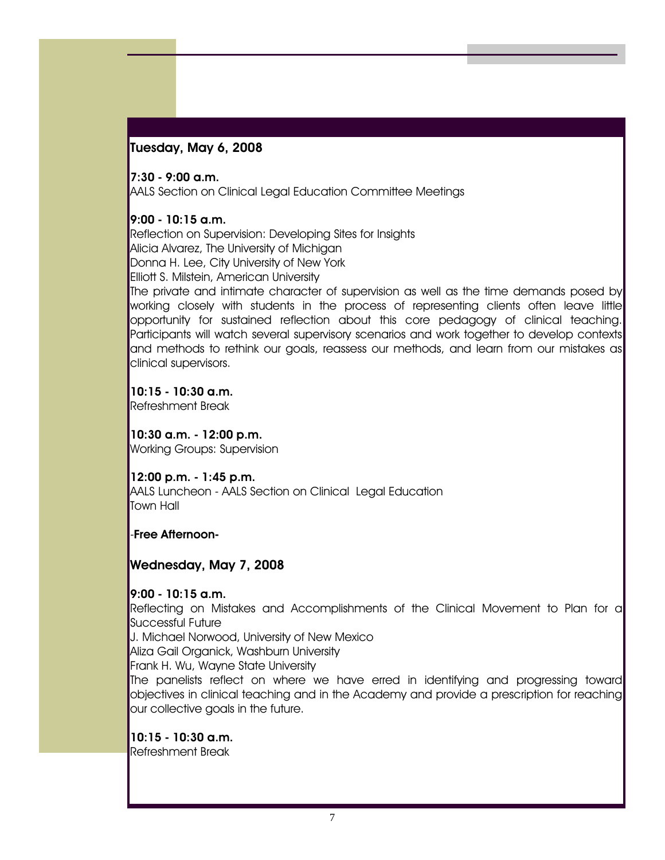### Tuesday, May 6, 2008

#### 7:30 - 9:00 a.m.

AALS Section on Clinical Legal Education Committee Meetings

#### 9:00 - 10:15 a.m.

Reflection on Supervision: Developing Sites for Insights Alicia Alvarez, The University of Michigan Donna H. Lee, City University of New York Elliott S. Milstein, American University

The private and intimate character of supervision as well as the time demands posed by working closely with students in the process of representing clients often leave little opportunity for sustained reflection about this core pedagogy of clinical teaching. Participants will watch several supervisory scenarios and work together to develop contexts and methods to rethink our goals, reassess our methods, and learn from our mistakes as clinical supervisors.

10:15 - 10:30 a.m. Refreshment Break

10:30 a.m. - 12:00 p.m. Working Groups: Supervision

12:00 p.m. - 1:45 p.m. AALS Luncheon - AALS Section on Clinical Legal Education Town Hall

#### -Free Afternoon-

#### Wednesday, May 7, 2008

9:00 - 10:15 a.m.

Reflecting on Mistakes and Accomplishments of the Clinical Movement to Plan for a Successful Future

J. Michael Norwood, University of New Mexico

Aliza Gail Organick, Washburn University

Frank H. Wu, Wayne State University

The panelists reflect on where we have erred in identifying and progressing toward objectives in clinical teaching and in the Academy and provide a prescription for reaching our collective goals in the future.

#### 10:15 - 10:30 a.m.

Refreshment Break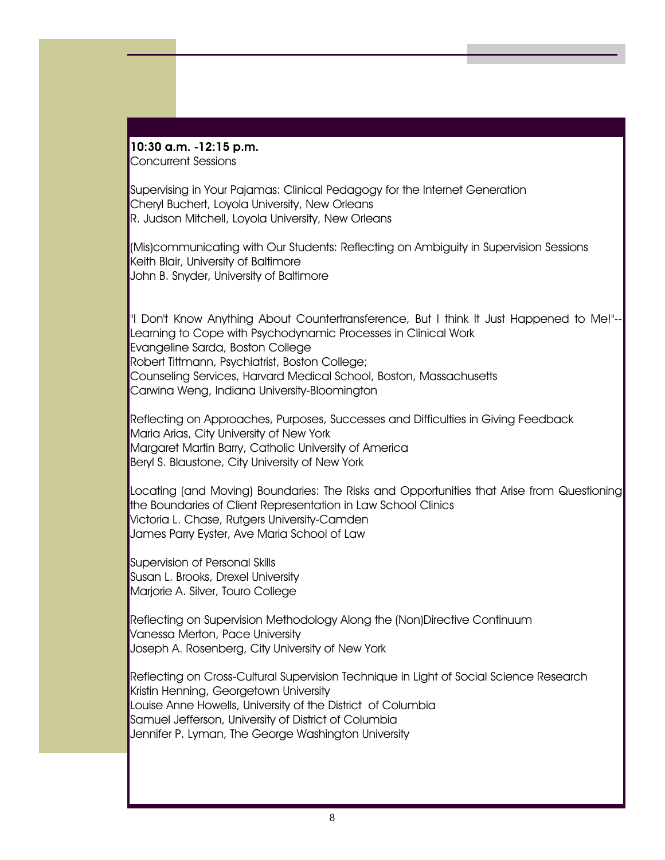#### 10:30 a.m. -12:15 p.m. Concurrent Sessions

Supervising in Your Pajamas: Clinical Pedagogy for the Internet Generation Cheryl Buchert, Loyola University, New Orleans R. Judson Mitchell, Loyola University, New Orleans

(Mis)communicating with Our Students: Reflecting on Ambiguity in Supervision Sessions Keith Blair, University of Baltimore John B. Snyder, University of Baltimore

"I Don't Know Anything About Countertransference, But I think It Just Happened to Me!"-- Learning to Cope with Psychodynamic Processes in Clinical Work Evangeline Sarda, Boston College Robert Tittmann, Psychiatrist, Boston College; Counseling Services, Harvard Medical School, Boston, Massachusetts Carwina Weng, Indiana University-Bloomington

Reflecting on Approaches, Purposes, Successes and Difficulties in Giving Feedback Maria Arias, City University of New York Margaret Martin Barry, Catholic University of America Beryl S. Blaustone, City University of New York

Locating (and Moving) Boundaries: The Risks and Opportunities that Arise from Questioning the Boundaries of Client Representation in Law School Clinics Victoria L. Chase, Rutgers University-Camden James Parry Eyster, Ave Maria School of Law

Supervision of Personal Skills Susan L. Brooks, Drexel University Marjorie A. Silver, Touro College

Reflecting on Supervision Methodology Along the (Non)Directive Continuum Vanessa Merton, Pace University Joseph A. Rosenberg, City University of New York

Reflecting on Cross-Cultural Supervision Technique in Light of Social Science Research Kristin Henning, Georgetown University Louise Anne Howells, University of the District of Columbia Samuel Jefferson, University of District of Columbia Jennifer P. Lyman, The George Washington University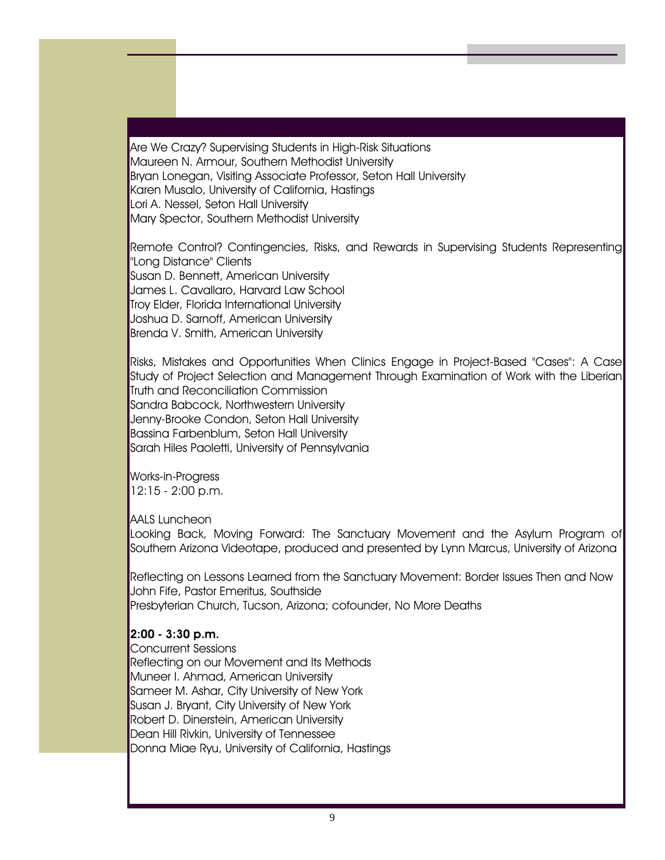Are We Crazy? Supervising Students in High-Risk Situations Maureen N. Armour, Southern Methodist University Bryan Lonegan, Visiting Associate Professor, Seton Hall University Karen Musalo, University of California, Hastings Lori A. Nessel, Seton Hall University Mary Spector, Southern Methodist University

Remote Control? Contingencies, Risks, and Rewards in Supervising Students Representing "Long Distance" Clients Susan D. Bennett, American University James L. Cavallaro, Harvard Law School Troy Elder, Florida International University Joshua D. Sarnoff, American University Brenda V. Smith, American University

Risks, Mistakes and Opportunities When Clinics Engage in Project-Based "Cases": A Case Study of Project Selection and Management Through Examination of Work with the Liberian Truth and Reconciliation Commission Sandra Babcock, Northwestern University Jenny-Brooke Condon, Seton Hall University Bassina Farbenblum, Seton Hall University Sarah Hiles Paoletti, University of Pennsylvania

Works-in-Progress 12:15 - 2:00 p.m.

AALS Luncheon

Looking Back, Moving Forward: The Sanctuary Movement and the Asylum Program of Southern Arizona Videotape, produced and presented by Lynn Marcus, University of Arizona

Reflecting on Lessons Learned from the Sanctuary Movement: Border Issues Then and Now John Fife, Pastor Emeritus, Southside Presbyterian Church, Tucson, Arizona; cofounder, No More Deaths

#### 2:00 - 3:30 p.m.

Concurrent Sessions Reflecting on our Movement and Its Methods Muneer I. Ahmad, American University Sameer M. Ashar, City University of New York Susan J. Bryant, City University of New York Robert D. Dinerstein, American University Dean Hill Rivkin, University of Tennessee Donna Miae Ryu, University of California, Hastings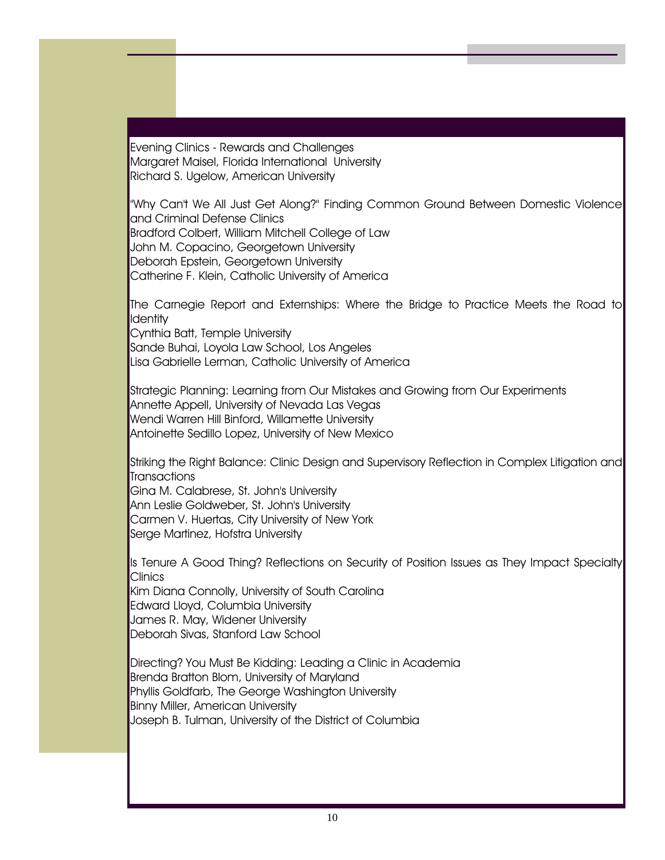Evening Clinics - Rewards and Challenges Margaret Maisel, Florida International University Richard S. Ugelow, American University

"Why Can't We All Just Get Along?" Finding Common Ground Between Domestic Violence and Criminal Defense Clinics Bradford Colbert, William Mitchell College of Law John M. Copacino, Georgetown University Deborah Epstein, Georgetown University Catherine F. Klein, Catholic University of America

The Carnegie Report and Externships: Where the Bridge to Practice Meets the Road to **Identity** Cynthia Batt, Temple University

Sande Buhai, Loyola Law School, Los Angeles Lisa Gabrielle Lerman, Catholic University of America

Strategic Planning: Learning from Our Mistakes and Growing from Our Experiments Annette Appell, University of Nevada Las Vegas Wendi Warren Hill Binford, Willamette University Antoinette Sedillo Lopez, University of New Mexico

Striking the Right Balance: Clinic Design and Supervisory Reflection in Complex Litigation and Transactions

Gina M. Calabrese, St. John's University Ann Leslie Goldweber, St. John's University Carmen V. Huertas, City University of New York Serge Martinez, Hofstra University

Is Tenure A Good Thing? Reflections on Security of Position Issues as They Impact Specialty Clinics

Kim Diana Connolly, University of South Carolina Edward Lloyd, Columbia University James R. May, Widener University Deborah Sivas, Stanford Law School

Directing? You Must Be Kidding: Leading a Clinic in Academia Brenda Bratton Blom, University of Maryland Phyllis Goldfarb, The George Washington University Binny Miller, American University Joseph B. Tulman, University of the District of Columbia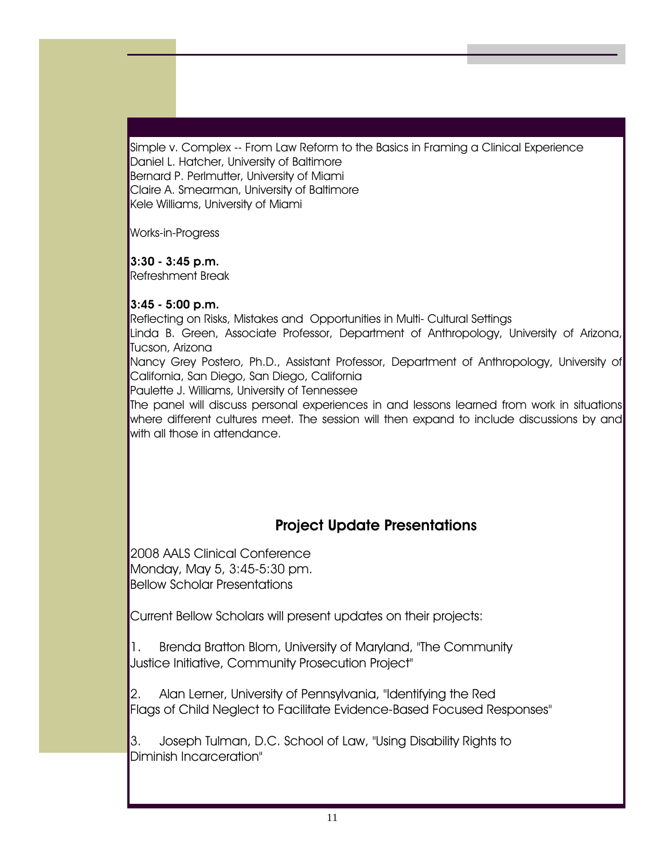Simple v. Complex -- From Law Reform to the Basics in Framing a Clinical Experience Daniel L. Hatcher, University of Baltimore Bernard P. Perlmutter, University of Miami Claire A. Smearman, University of Baltimore Kele Williams, University of Miami

Works-in-Progress

### 3:30 - 3:45 p.m.

Refreshment Break

### 3:45 - 5:00 p.m.

Reflecting on Risks, Mistakes and Opportunities in Multi- Cultural Settings

Linda B. Green, Associate Professor, Department of Anthropology, University of Arizona, Tucson, Arizona

Nancy Grey Postero, Ph.D., Assistant Professor, Department of Anthropology, University of California, San Diego, San Diego, California

Paulette J. Williams, University of Tennessee

The panel will discuss personal experiences in and lessons learned from work in situations where different cultures meet. The session will then expand to include discussions by and with all those in attendance.

# Project Update Presentations

2008 AALS Clinical Conference Monday, May 5, 3:45-5:30 pm. Bellow Scholar Presentations

Current Bellow Scholars will present updates on their projects:

1. Brenda Bratton Blom, University of Maryland, "The Community Justice Initiative, Community Prosecution Project"

2. Alan Lerner, University of Pennsylvania, "Identifying the Red Flags of Child Neglect to Facilitate Evidence-Based Focused Responses"

3. Joseph Tulman, D.C. School of Law, "Using Disability Rights to Diminish Incarceration"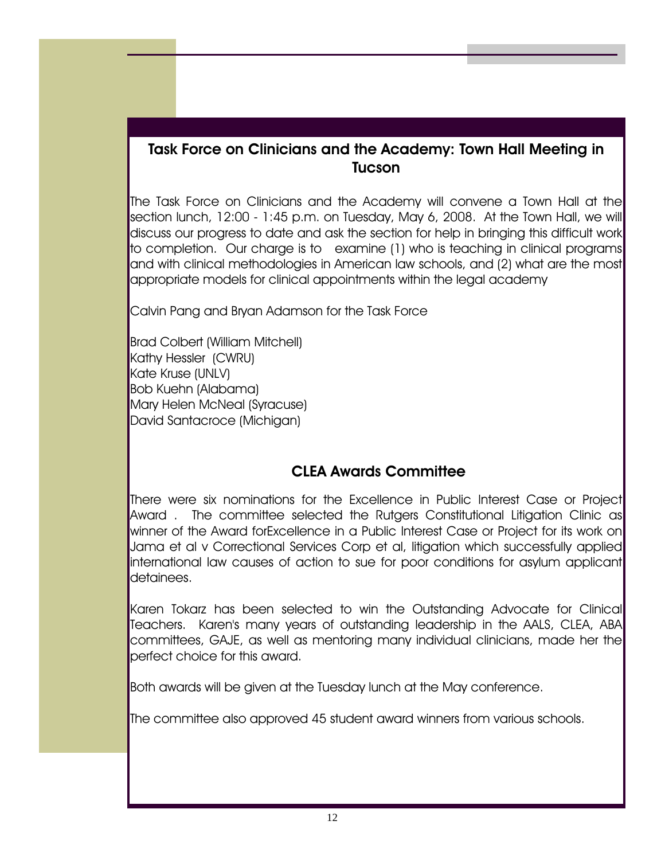## Task Force on Clinicians and the Academy: Town Hall Meeting in **Tucson**

The Task Force on Clinicians and the Academy will convene a Town Hall at the section lunch, 12:00 - 1:45 p.m. on Tuesday, May 6, 2008. At the Town Hall, we will discuss our progress to date and ask the section for help in bringing this difficult work to completion. Our charge is to examine (1) who is teaching in clinical programs and with clinical methodologies in American law schools, and (2) what are the most appropriate models for clinical appointments within the legal academy

Calvin Pang and Bryan Adamson for the Task Force

Brad Colbert (William Mitchell) Kathy Hessler (CWRU) Kate Kruse (UNLV) Bob Kuehn (Alabama) Mary Helen McNeal (Syracuse) David Santacroce (Michigan)

## CLEA Awards Committee

There were six nominations for the Excellence in Public Interest Case or Project Award . The committee selected the Rutgers Constitutional Litigation Clinic as winner of the Award forExcellence in a Public Interest Case or Project for its work on Jama et al v Correctional Services Corp et al, litigation which successfully applied international law causes of action to sue for poor conditions for asylum applicant detainees.

Karen Tokarz has been selected to win the Outstanding Advocate for Clinical Teachers. Karen's many years of outstanding leadership in the AALS, CLEA, ABA committees, GAJE, as well as mentoring many individual clinicians, made her the perfect choice for this award.

Both awards will be given at the Tuesday lunch at the May conference.

The committee also approved 45 student award winners from various schools.